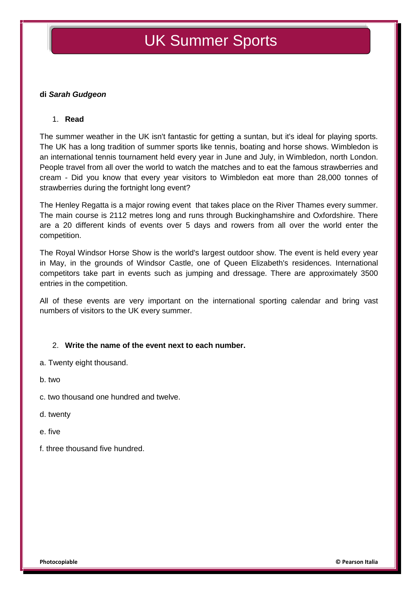# UK Summer Sports

#### **di** *Sarah Gudgeon*

#### 1. **Read**

The summer weather in the UK isn't fantastic for getting a suntan, but it's ideal for playing sports. The UK has a long tradition of summer sports like tennis, boating and horse shows. Wimbledon is an international tennis tournament held every year in June and July, in Wimbledon, north London. People travel from all over the world to watch the matches and to eat the famous strawberries and cream - Did you know that every year visitors to Wimbledon eat more than 28,000 tonnes of strawberries during the fortnight long event?

The Henley Regatta is a major rowing event that takes place on the River Thames every summer. The main course is 2112 metres long and runs through Buckinghamshire and Oxfordshire. There are a 20 different kinds of events over 5 days and rowers from all over the world enter the competition.

The Royal Windsor Horse Show is the world's largest outdoor show. The event is held every year in May, in the grounds of Windsor Castle, one of Queen Elizabeth's residences. International competitors take part in events such as jumping and dressage. There are approximately 3500 entries in the competition.

All of these events are very important on the international sporting calendar and bring vast numbers of visitors to the UK every summer.

#### 2. **Write the name of the event next to each number.**

- a. Twenty eight thousand.
- b. two
- c. two thousand one hundred and twelve.
- d. twenty
- e. five
- f. three thousand five hundred.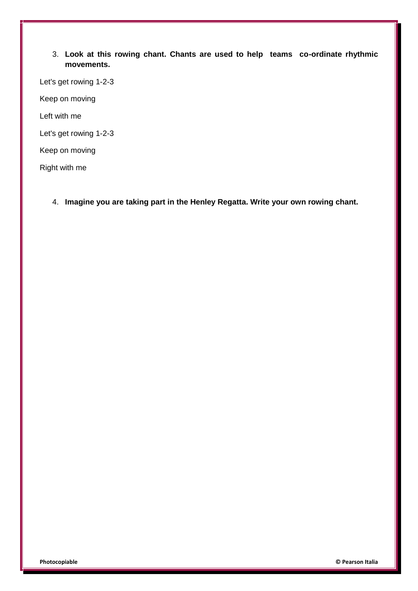### 3. **Look at this rowing chant. Chants are used to help teams co-ordinate rhythmic movements.**

Let's get rowing 1-2-3

Keep on moving

Left with me

Let's get rowing 1-2-3

Keep on moving

Right with me

4. **Imagine you are taking part in the Henley Regatta. Write your own rowing chant.**